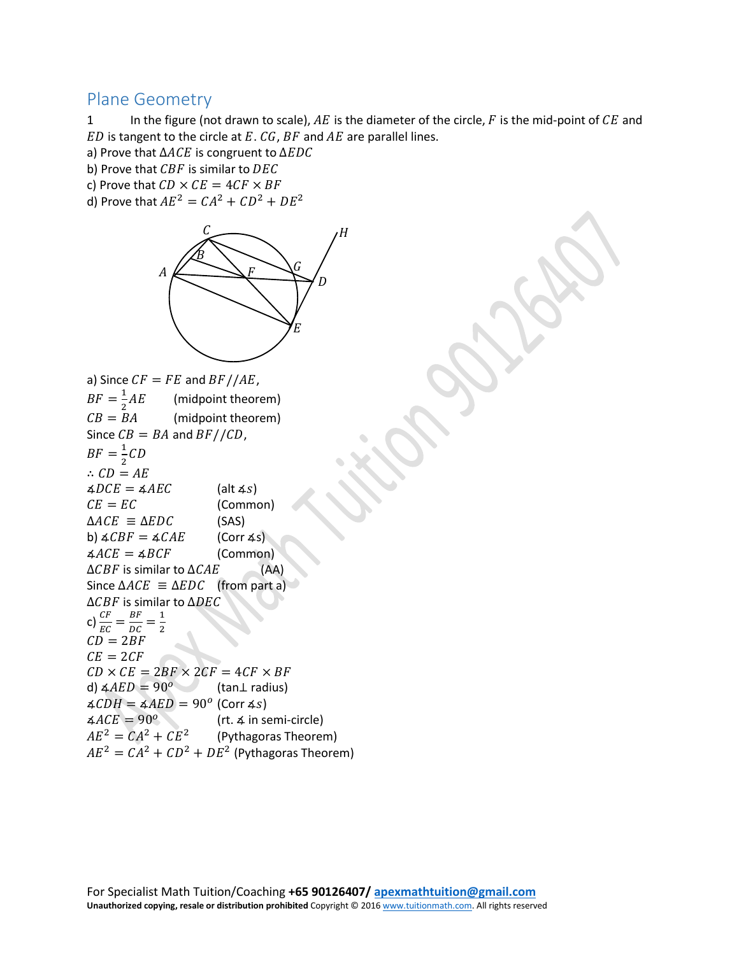## Plane Geometry

1 In the figure (not drawn to scale),  $AE$  is the diameter of the circle,  $F$  is the mid-point of  $CE$  and  $ED$  is tangent to the circle at  $E. CG, BF$  and  $AE$  are parallel lines.

a) Prove that  $\triangle ACE$  is congruent to  $\triangle EDC$ 

b) Prove that  $CBF$  is similar to  $DEC$ 

c) Prove that  $CD \times CE = 4CF \times BF$ 

d) Prove that  $AE^2 = CA^2 + CD^2 + DE^2$ 



(Common)

a) Since  $CF = FE$  and  $BF//AE$ ,  $BF = \frac{1}{2}AE$ (midpoint theorem)

 $CB = BA$ (midpoint theorem) Since  $CB = BA$  and  $BF//CD$ ,

 $BF = \frac{1}{2}C$ 

 $\therefore$   $CD = AE$  $\angle ADCE = \angle AEC$  (alt  $\angle s$ )<br>  $CE = EC$  (Commo

 $\triangle ACE \equiv \triangle EDC$  (SAS)<br>b)  $\angle CBF = \angle CAE$  (Corr 4s)

b)  $\angle CBF = \angle CAE$  (Corr  $\angle ACE = \angle BCF$  (Common)

 $\angle ACE = \angle BCF$  (Common)<br> $\triangle CBF$  is similar to  $\triangle CAE$  (AA)  $\Delta CBF$  is similar to  $\Delta CAE$ 

Since  $\Delta ACE \equiv \Delta EDC$  (from part a) ∆CBF is similar to ∆DEC

c)  $\frac{CF}{EC} = \frac{BF}{DC} = \frac{1}{2}$ 

 $CD = 2BF$  $CE = 2CF$ 

 $CD \times CE = 2BF \times 2CF = 4CF \times BF$ <br>d)  $\angle AED = 90^{\circ}$  (tan L radius)

d)  $\angle AED = 90^{\circ}$ 

 $\angle \angle CDH = \angle AED = 90^{\circ}$  (Corr  $\angle s$ )<br> $\angle ACE = 90^{\circ}$  (rt.  $\angle$  in se  $\angle ACE = 90^\circ$  (rt. ∡ in semi-circle)<br>  $AE^2 = CA^2 + CE^2$  (Pythagoras Theorer (Pythagoras Theorem)

 $AE^2 = CA^2 + CD^2 + DE^2$  (Pythagoras Theorem)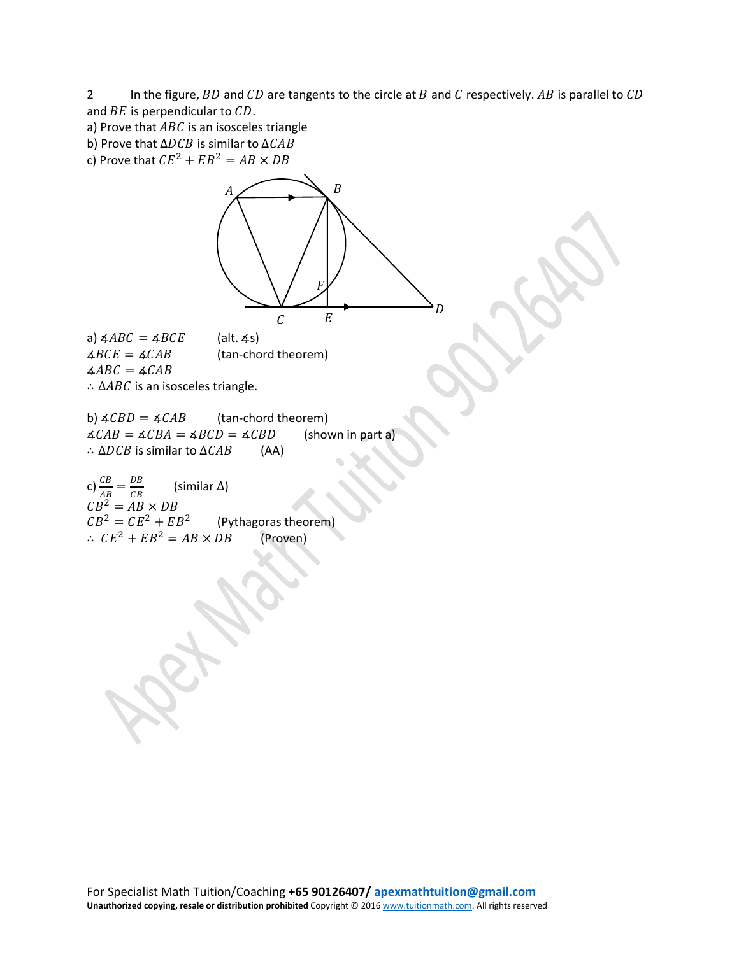2 In the figure,  $BD$  and  $CD$  are tangents to the circle at  $B$  and  $C$  respectively.  $AB$  is parallel to  $CD$ and  $BE$  is perpendicular to  $CD$ .

a) Prove that  $ABC$  is an isosceles triangle

b) Prove that  $\Delta DCB$  is similar to  $\Delta CAB$ 

c) Prove that  $CE^2 + EB^2 = AB \times DB$ 

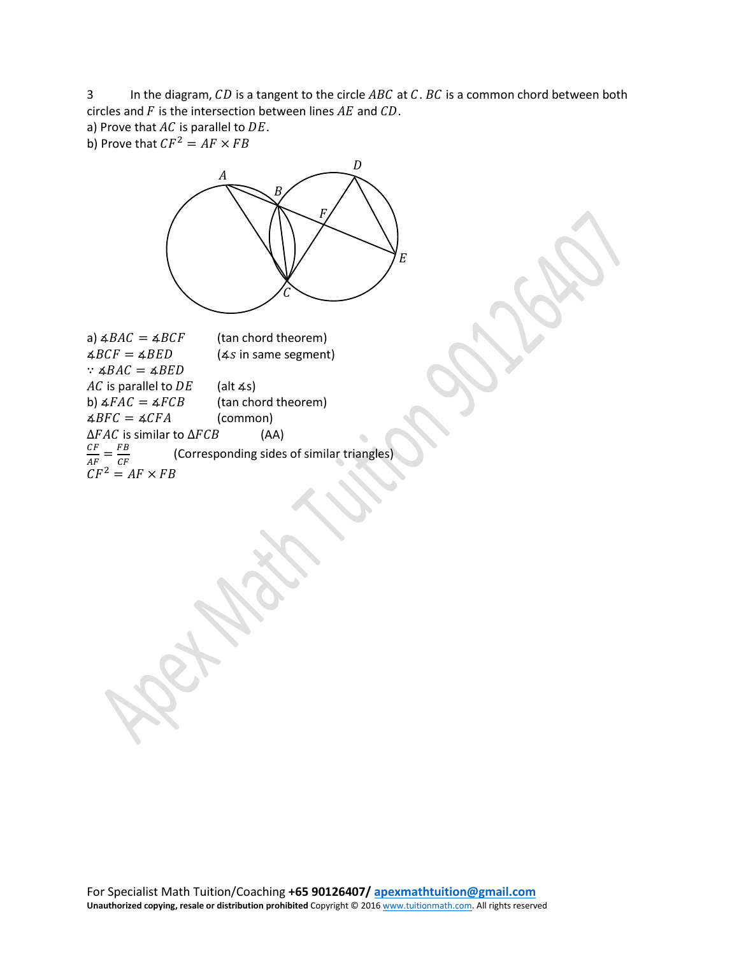3 In the diagram,  $CD$  is a tangent to the circle  $ABC$  at  $C$ .  $BC$  is a common chord between both circles and  $F$  is the intersection between lines  $AE$  and  $CD$ .

a) Prove that  $AC$  is parallel to  $DE$ .

b) Prove that  $CF^2 = AF \times FB$ 



a)  $\angle BAC = \angle BCF$  (tan chord theorem)<br> $\angle BCF = \angle BED$  ( $\angle s$  in same segment  $(4s$  in same segment)  $\therefore$   $\triangle$ *BAC* =  $\triangle$ *BED AC* is parallel to *DE* (alt ∡s)<br>b)  $4FAC = 4FCB$  (tan cho (tan chord theorem)<br>(common)  $\triangle BFC = \triangle CFA$  (common)<br> $\triangle FAC$  is similar to  $\triangle FCB$  (AA)  $\Delta FAC$  is similar to  $\Delta FCB$  $\overline{c}$ (Corresponding sides of similar triangles)  $CF^2 = AF \times F$ 

For Specialist Math Tuition/Coaching **+65 90126407/ [apexmathtuition@gmail.com](mailto:apexmathtuition@gmail.com) Unauthorized copying, resale or distribution prohibited** Copyright © 201[6 www.tuitionmath.com.](http://www.tuitionmath.com/) All rights reserved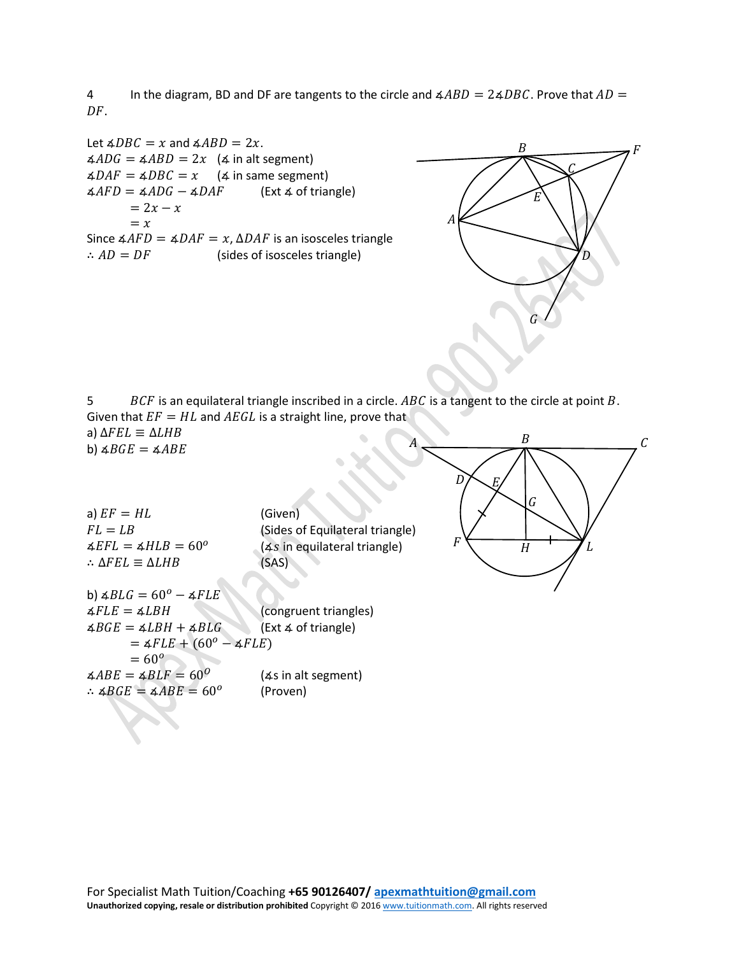4 In the diagram, BD and DF are tangents to the circle and  $\angle ABD = 2\angle DBC$ . Prove that  $AD =$  $DF.$ 

Let  $\angle ABC = x$  and  $\angle ABD = 2x$ .  $\angle ADG = \angle ABD = 2x$  ( $\angle$  in alt segment)  $\angle\angle DAF = \angle DBC = x$  ( $\angle$  in same segment)<br> $\angle AFD = \angle ADG - \angle DAF$  (Ext  $\angle$  of triangle)  $\angle AFD = \angle ADG - \angle DAF$  $= 2x - x$  $= x$ Since  $\angle AFD = \angle DAF = x$ ,  $\triangle DAF$  is an isosceles triangle<br>
∴  $AD = DF$  (sides of isosceles triangle) (sides of isosceles triangle)



G

 $H$ 

 $I_{\cdot}$ 

 $\nu \sim E$ 

 $\overline{F}$ 

5  $BCF$  is an equilateral triangle inscribed in a circle. ABC is a tangent to the circle at point B. Given that  $EF = HL$  and  $AEGL$  is a straight line, prove that a)  $\Delta FEL \equiv \Delta LHB$ b)  $\triangle ABC = \triangle ABE$  $A \longrightarrow C$  $\boldsymbol{B}$ 

| a) $EF = HL$                                            | (Given)                               |
|---------------------------------------------------------|---------------------------------------|
| $FL = LR$                                               | (Sides of Equilateral triangle)       |
| $\triangle EFL = \triangle HLB = 60^{\circ}$            | $(4s)$ in equilateral triangle)       |
| $\therefore$ AFEL $\equiv$ ALHB                         | (SAS)                                 |
|                                                         |                                       |
| b) $\triangle BLG = 60^{\circ} - \triangle FLE$         |                                       |
| $\triangle FLE = \triangle LBH$                         | (congruent triangles)                 |
| $\triangle BGE = \triangle LBH + \triangle BLG$         | $(\text{Ext } 4 \text{ of triangle})$ |
| $=$ $\angle FLE + (60^{\circ} - \angle FLE)$            |                                       |
| $= 60^{\circ}$                                          |                                       |
| $\angle ABE = \angle BLF = 60^{\circ}$                  | $(4s$ in alt segment)                 |
| $\therefore$ $\triangle BGE = \triangle ABE = 60^\circ$ | (Proven)                              |
|                                                         |                                       |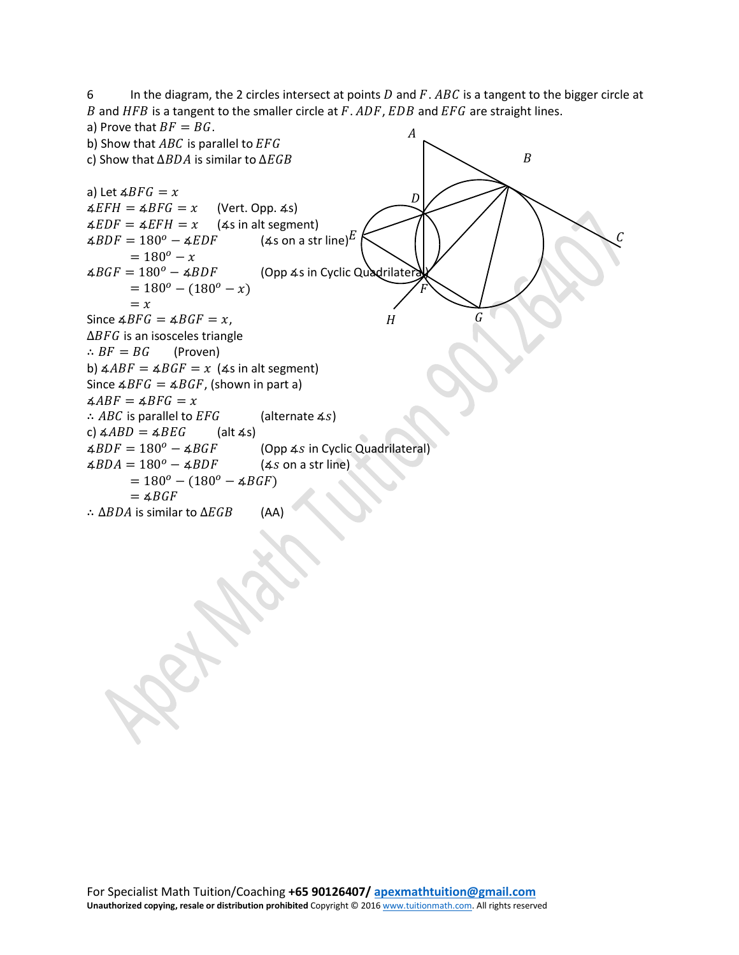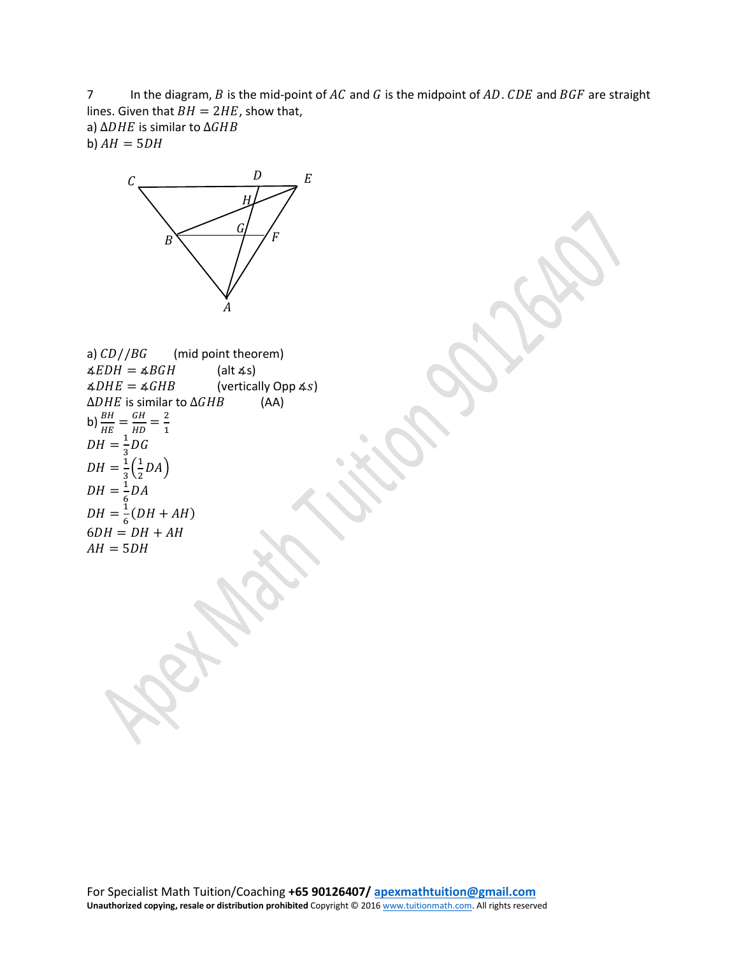7 In the diagram,  $B$  is the mid-point of  $AC$  and  $G$  is the midpoint of  $AD$ .  $CDE$  and  $BGF$  are straight lines. Given that  $BH = 2HE$ , show that, a)  $\triangle DHE$  is similar to  $\triangle GHB$ 

b)  $AH = 5DH$ 



a)  $CD//BG$  (mid point theorem)<br> $\angle EDH = \angle BGH$  (alt  $\angle$ s)  $\angle EDH = \angle BGH$ <br> $\angle DHE = \angle GHB$  $\frac{1}{2}$  (vertically Opp 4*s*) ∆DHE is similar to ∆GHB b)  $\frac{BH}{HE} = \frac{GH}{HD} = \frac{2}{1}$ <br> $DH = \frac{1}{3}DG$  $DH = \frac{1}{3} (\frac{1}{2})$  $\frac{1}{2}$ DA)  $DH = \frac{1}{6}DA$  $DH = \frac{1}{6}(DH + AH)$  $6DH = DH + AH$  $AH = 5DH$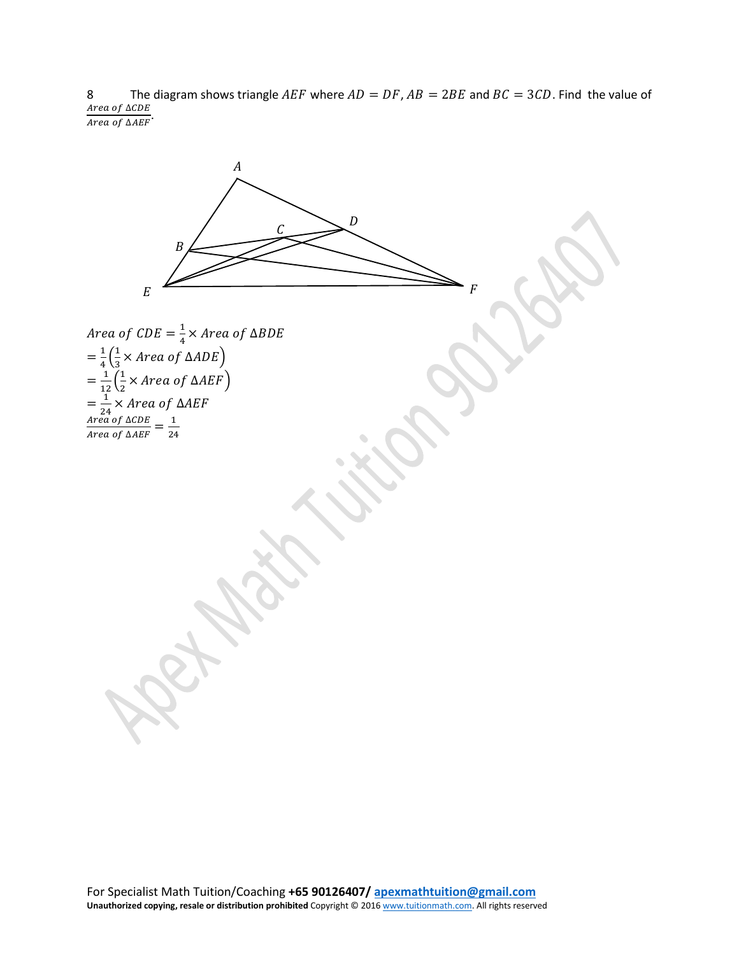8 The diagram shows triangle AEF where  $AD = DF$ ,  $AB = 2BE$  and  $BC = 3CD$ . Find the value of Area of ∆CDE Area of ∆AEF

*Area of CDE* =  $\frac{1}{4}$   $\times$  *Area of*  $\Delta B$  $=\frac{1}{4}\left(\frac{1}{3}\right)$  $\frac{1}{3}$ × Area of  $\triangle ADE$  )  $=\frac{1}{12}(\frac{1}{2})$  $\frac{1}{2}$ × Area of  $\Delta A E$ F)  $=\frac{1}{24} \times Area$  of  $\Delta A$  $\frac{Area\ of\ \Delta CDE}{Area\ of\ \Delta AEF} = \frac{1}{24}$  $\boldsymbol{A}$ Ļ  $E$  $\overline{D}$ R F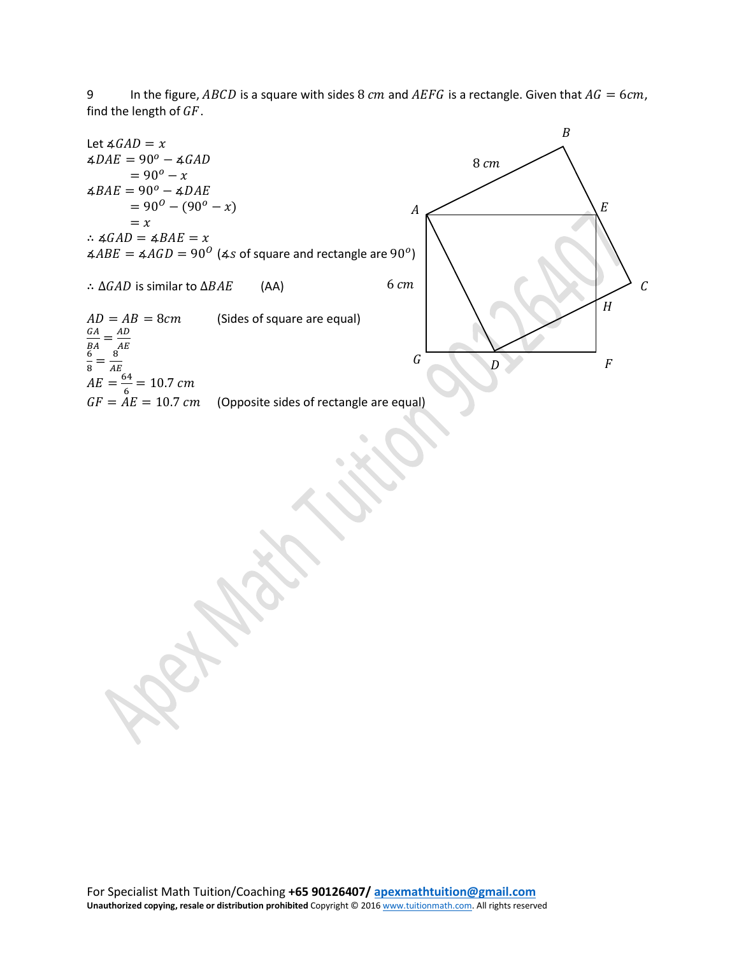9 In the figure, ABCD is a square with sides 8  $cm$  and AEFG is a rectangle. Given that  $AG = 6 cm$ , find the length of  $GF$ .